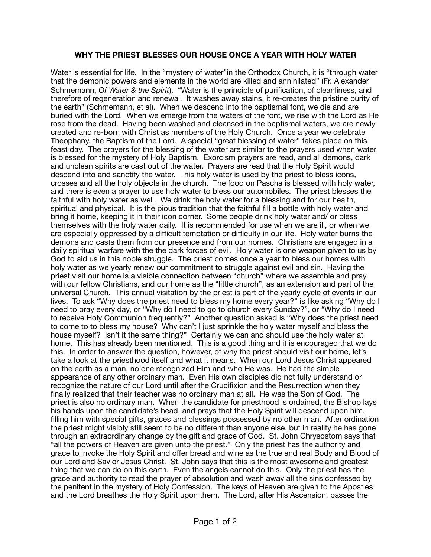## **WHY THE PRIEST BLESSES OUR HOUSE ONCE A YEAR WITH HOLY WATER**

Water is essential for life. In the "mystery of water"in the Orthodox Church, it is "through water that the demonic powers and elements in the world are killed and annihilated" (Fr. Alexander Schmemann, *Of Water & the Spirit*). "Water is the principle of purification, of cleanliness, and therefore of regeneration and renewal. It washes away stains, it re-creates the pristine purity of the earth" (Schmemann, et al). When we descend into the baptismal font, we die and are buried with the Lord. When we emerge from the waters of the font, we rise with the Lord as He rose from the dead. Having been washed and cleansed in the baptismal waters, we are newly created and re-born with Christ as members of the Holy Church. Once a year we celebrate Theophany, the Baptism of the Lord. A special "great blessing of water" takes place on this feast day. The prayers for the blessing of the water are similar to the prayers used when water is blessed for the mystery of Holy Baptism. Exorcism prayers are read, and all demons, dark and unclean spirits are cast out of the water. Prayers are read that the Holy Spirit would descend into and sanctify the water. This holy water is used by the priest to bless icons, crosses and all the holy objects in the church. The food on Pascha is blessed with holy water, and there is even a prayer to use holy water to bless our automobiles. The priest blesses the faithful with holy water as well. We drink the holy water for a blessing and for our health, spiritual and physical. It is the pious tradition that the faithful fill a bottle with holy water and bring it home, keeping it in their icon corner. Some people drink holy water and/ or bless themselves with the holy water daily. It is recommended for use when we are ill, or when we are especially oppressed by a difficult temptation or difficulty in our life. Holy water burns the demons and casts them from our presence and from our homes. Christians are engaged in a daily spiritual warfare with the the dark forces of evil. Holy water is one weapon given to us by God to aid us in this noble struggle. The priest comes once a year to bless our homes with holy water as we yearly renew our commitment to struggle against evil and sin. Having the priest visit our home is a visible connection between "church" where we assemble and pray with our fellow Christians, and our home as the "little church", as an extension and part of the universal Church. This annual visitation by the priest is part of the yearly cycle of events in our lives. To ask "Why does the priest need to bless my home every year?" is like asking "Why do I need to pray every day, or "Why do I need to go to church every Sunday?", or "Why do I need to receive Holy Communion frequently?" Another question asked is "Why does the priest need to come to to bless my house? Why can't I just sprinkle the holy water myself and bless the house myself? Isn't it the same thing?" Certainly we can and should use the holy water at home. This has already been mentioned. This is a good thing and it is encouraged that we do this. In order to answer the question, however, of why the priest should visit our home, let's take a look at the priesthood itself and what it means. When our Lord Jesus Christ appeared on the earth as a man, no one recognized Him and who He was. He had the simple appearance of any other ordinary man. Even His own disciples did not fully understand or recognize the nature of our Lord until after the Crucifixion and the Resurrection when they finally realized that their teacher was no ordinary man at all. He was the Son of God. The priest is also no ordinary man. When the candidate for priesthood is ordained, the Bishop lays his hands upon the candidate's head, and prays that the Holy Spirit will descend upon him, filling him with special gifts, graces and blessings possessed by no other man. After ordination the priest might visibly still seem to be no different than anyone else, but in reality he has gone through an extraordinary change by the gift and grace of God. St. John Chrysostom says that "all the powers of Heaven are given unto the priest." Only the priest has the authority and grace to invoke the Holy Spirit and offer bread and wine as the true and real Body and Blood of our Lord and Savior Jesus Christ. St. John says that this is the most awesome and greatest thing that we can do on this earth. Even the angels cannot do this. Only the priest has the grace and authority to read the prayer of absolution and wash away all the sins confessed by the penitent in the mystery of Holy Confession. The keys of Heaven are given to the Apostles and the Lord breathes the Holy Spirit upon them. The Lord, after His Ascension, passes the